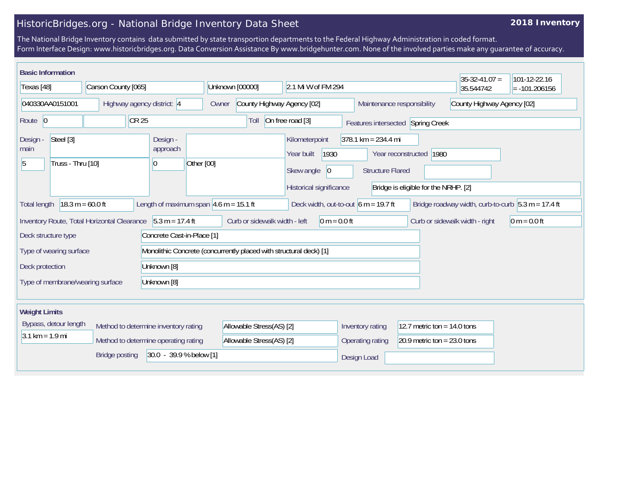## HistoricBridges.org - National Bridge Inventory Data Sheet

## **2018 Inventory**

The National Bridge Inventory contains data submitted by state transportion departments to the Federal Highway Administration in coded format. Form Interface Design: www.historicbridges.org. Data Conversion Assistance By www.bridgehunter.com. None of the involved parties make any guarantee of accuracy.

| <b>Basic Information</b>                                                                                                                                                |                                      |                                                                    |                                     |                                                                                              |                                                                  |                                                                 | $35-32-41.07 =$                                      | 101-12-22.16    |
|-------------------------------------------------------------------------------------------------------------------------------------------------------------------------|--------------------------------------|--------------------------------------------------------------------|-------------------------------------|----------------------------------------------------------------------------------------------|------------------------------------------------------------------|-----------------------------------------------------------------|------------------------------------------------------|-----------------|
| Texas [48]                                                                                                                                                              | Carson County [065]                  |                                                                    | Unknown [00000]                     | 2.1 Mi W of FM 294                                                                           |                                                                  |                                                                 | 35.544742                                            | $= -101.206156$ |
| 040330AA0151001                                                                                                                                                         | Highway agency district: 4           |                                                                    | County Highway Agency [02]<br>Owner |                                                                                              | Maintenance responsibility                                       |                                                                 | County Highway Agency [02]                           |                 |
| Route 0                                                                                                                                                                 | CR <sub>25</sub>                     |                                                                    | Toll                                | On free road [3]                                                                             |                                                                  | Features intersected Spring Creek                               |                                                      |                 |
| Steel [3]<br>Design -<br>main<br>Truss - Thru [10]<br>15                                                                                                                |                                      | Design -<br>approach<br>Other [00]<br>$\overline{0}$               |                                     | Kilometerpoint<br>Year built<br>1930<br>Skew angle<br>$ 0\rangle$<br>Historical significance | $378.1 \text{ km} = 234.4 \text{ mi}$<br><b>Structure Flared</b> | Year reconstructed 1980<br>Bridge is eligible for the NRHP. [2] |                                                      |                 |
| <b>Total length</b>                                                                                                                                                     | $18.3 m = 60.0 ft$                   | Length of maximum span $ 4.6 \text{ m} = 15.1 \text{ ft} $         |                                     | Deck width, out-to-out $6 m = 19.7$ ft                                                       |                                                                  |                                                                 | Bridge roadway width, curb-to-curb $5.3 m = 17.4 ft$ |                 |
| Inventory Route, Total Horizontal Clearance<br>$5.3 m = 17.4 ft$<br>Curb or sidewalk width - left<br>$0 m = 0.0 ft$<br>Curb or sidewalk width - right<br>$0 m = 0.0 ft$ |                                      |                                                                    |                                     |                                                                                              |                                                                  |                                                                 |                                                      |                 |
| Concrete Cast-in-Place [1]<br>Deck structure type                                                                                                                       |                                      |                                                                    |                                     |                                                                                              |                                                                  |                                                                 |                                                      |                 |
| Type of wearing surface                                                                                                                                                 |                                      | Monolithic Concrete (concurrently placed with structural deck) [1] |                                     |                                                                                              |                                                                  |                                                                 |                                                      |                 |
| Deck protection<br>Unknown [8]                                                                                                                                          |                                      |                                                                    |                                     |                                                                                              |                                                                  |                                                                 |                                                      |                 |
| Unknown [8]<br>Type of membrane/wearing surface                                                                                                                         |                                      |                                                                    |                                     |                                                                                              |                                                                  |                                                                 |                                                      |                 |
| <b>Weight Limits</b>                                                                                                                                                    |                                      |                                                                    |                                     |                                                                                              |                                                                  |                                                                 |                                                      |                 |
| Bypass, detour length<br>Method to determine inventory rating                                                                                                           |                                      |                                                                    | Allowable Stress(AS) [2]            |                                                                                              | Inventory rating<br>12.7 metric ton = $14.0$ tons                |                                                                 |                                                      |                 |
| $3.1 \text{ km} = 1.9 \text{ mi}$                                                                                                                                       | Method to determine operating rating |                                                                    |                                     | Allowable Stress(AS) [2]                                                                     | Operating rating                                                 | 20.9 metric ton = $23.0$ tons                                   |                                                      |                 |
| 30.0 - 39.9 % below [1]<br><b>Bridge posting</b>                                                                                                                        |                                      |                                                                    |                                     |                                                                                              | Design Load                                                      |                                                                 |                                                      |                 |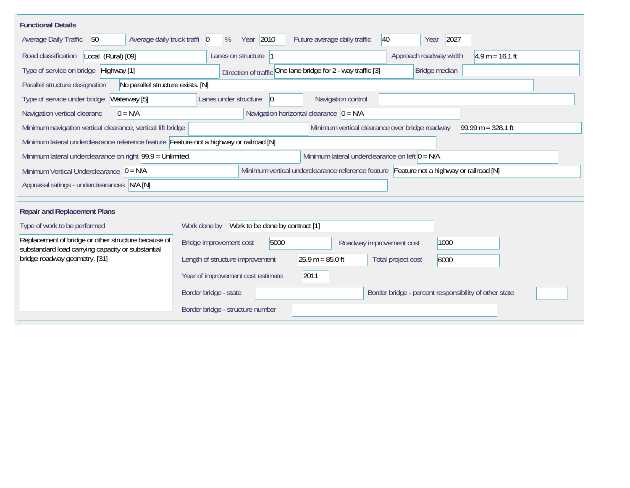| <b>Functional Details</b>                                                                                                             |                                              |                                                              |                                             |                          |                                                       |                      |  |  |
|---------------------------------------------------------------------------------------------------------------------------------------|----------------------------------------------|--------------------------------------------------------------|---------------------------------------------|--------------------------|-------------------------------------------------------|----------------------|--|--|
| Average daily truck traffi 0<br>50<br>Average Daily Traffic                                                                           | %                                            | Year 2010                                                    | Future average daily traffic                | 40                       | 2027<br>Year                                          |                      |  |  |
| Road classification<br>Local (Rural) [09]                                                                                             | Lanes on structure  1                        |                                                              |                                             |                          | Approach roadway width                                | $4.9 m = 16.1 ft$    |  |  |
| Type of service on bridge Highway [1]                                                                                                 |                                              | Direction of traffic One lane bridge for 2 - way traffic [3] |                                             |                          | Bridge median                                         |                      |  |  |
| No parallel structure exists. [N]<br>Parallel structure designation                                                                   |                                              |                                                              |                                             |                          |                                                       |                      |  |  |
| Type of service under bridge<br>Waterway [5]                                                                                          | Lanes under structure                        | $ 0\rangle$                                                  | Navigation control                          |                          |                                                       |                      |  |  |
| Navigation vertical clearanc<br>$0 = N/A$                                                                                             |                                              |                                                              | Navigation horizontal clearance $ 0 = N/A $ |                          |                                                       |                      |  |  |
| Minimum navigation vertical clearance, vertical lift bridge<br>Minimum vertical clearance over bridge roadway                         |                                              |                                                              |                                             |                          |                                                       | $99.99 m = 328.1 ft$ |  |  |
| Minimum lateral underclearance reference feature Feature not a highway or railroad [N]                                                |                                              |                                                              |                                             |                          |                                                       |                      |  |  |
| Minimum lateral underclearance on left $0 = N/A$<br>Minimum lateral underclearance on right 99.9 = Unlimited                          |                                              |                                                              |                                             |                          |                                                       |                      |  |  |
| Minimum vertical underclearance reference feature Feature not a highway or railroad [N]<br>Minimum Vertical Underclearance $ 0 = N/A$ |                                              |                                                              |                                             |                          |                                                       |                      |  |  |
| Appraisal ratings - underclearances N/A [N]                                                                                           |                                              |                                                              |                                             |                          |                                                       |                      |  |  |
|                                                                                                                                       |                                              |                                                              |                                             |                          |                                                       |                      |  |  |
| <b>Repair and Replacement Plans</b>                                                                                                   |                                              |                                                              |                                             |                          |                                                       |                      |  |  |
| Type of work to be performed                                                                                                          | Work done by Work to be done by contract [1] |                                                              |                                             |                          |                                                       |                      |  |  |
| Replacement of bridge or other structure because of<br>substandard load carrying capacity or substantial                              | Bridge improvement cost                      | 5000                                                         |                                             | Roadway improvement cost | 1000                                                  |                      |  |  |
| bridge roadway geometry. [31]                                                                                                         | Length of structure improvement              |                                                              | $25.9 m = 85.0 ft$                          | Total project cost       | 6000                                                  |                      |  |  |
|                                                                                                                                       | Year of improvement cost estimate            |                                                              | 2011                                        |                          |                                                       |                      |  |  |
|                                                                                                                                       | Border bridge - state                        |                                                              |                                             |                          | Border bridge - percent responsibility of other state |                      |  |  |
| Border bridge - structure number                                                                                                      |                                              |                                                              |                                             |                          |                                                       |                      |  |  |